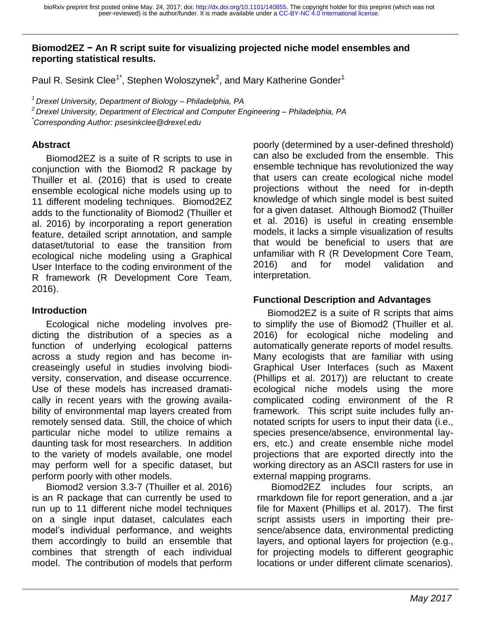#### **Biomod2EZ − An R script suite for visualizing projected niche model ensembles and reporting statistical results.**

Paul R. Sesink Clee<sup>1\*</sup>, Stephen Woloszynek<sup>2</sup>, and Mary Katherine Gonder<sup>1</sup>

*<sup>1</sup>Drexel University, Department of Biology – Philadelphia, PA <sup>2</sup>Drexel University, Department of Electrical and Computer Engineering – Philadelphia, PA \*Corresponding Author: psesinkclee@drexel.edu* 

### **Abstract**

Biomod2EZ is a suite of R scripts to use in conjunction with the Biomod2 R package by Thuiller et al. (2016) that is used to create ensemble ecological niche models using up to 11 different modeling techniques. Biomod2EZ adds to the functionality of Biomod2 (Thuiller et al. 2016) by incorporating a report generation feature, detailed script annotation, and sample dataset/tutorial to ease the transition from ecological niche modeling using a Graphical User Interface to the coding environment of the R framework (R Development Core Team, 2016).

## **Introduction**

Ecological niche modeling involves predicting the distribution of a species as a function of underlying ecological patterns across a study region and has become increaseingly useful in studies involving biodiversity, conservation, and disease occurrence. Use of these models has increased dramatically in recent years with the growing availability of environmental map layers created from remotely sensed data. Still, the choice of which particular niche model to utilize remains a daunting task for most researchers. In addition to the variety of models available, one model may perform well for a specific dataset, but perform poorly with other models.

Biomod2 version 3.3-7 (Thuiller et al. 2016) is an R package that can currently be used to run up to 11 different niche model techniques on a single input dataset, calculates each model's individual performance, and weights them accordingly to build an ensemble that combines that strength of each individual model. The contribution of models that perform poorly (determined by a user-defined threshold) can also be excluded from the ensemble. This ensemble technique has revolutionized the way that users can create ecological niche model projections without the need for in-depth knowledge of which single model is best suited for a given dataset. Although Biomod2 (Thuiller et al. 2016) is useful in creating ensemble models, it lacks a simple visualization of results that would be beneficial to users that are unfamiliar with R (R Development Core Team, 2016) and for model validation and interpretation.

## **Functional Description and Advantages**

Biomod2EZ is a suite of R scripts that aims to simplify the use of Biomod2 (Thuiller et al. 2016) for ecological niche modeling and automatically generate reports of model results. Many ecologists that are familiar with using Graphical User Interfaces (such as Maxent (Phillips et al. 2017)) are reluctant to create ecological niche models using the more complicated coding environment of the R framework. This script suite includes fully annotated scripts for users to input their data (i.e., species presence/absence, environmental layers, etc.) and create ensemble niche model projections that are exported directly into the working directory as an ASCII rasters for use in external mapping programs.

Biomod2EZ includes four scripts, an rmarkdown file for report generation, and a .jar file for Maxent (Phillips et al. 2017). The first script assists users in importing their presence/absence data, environmental predicting layers, and optional layers for projection (e.g., for projecting models to different geographic locations or under different climate scenarios).